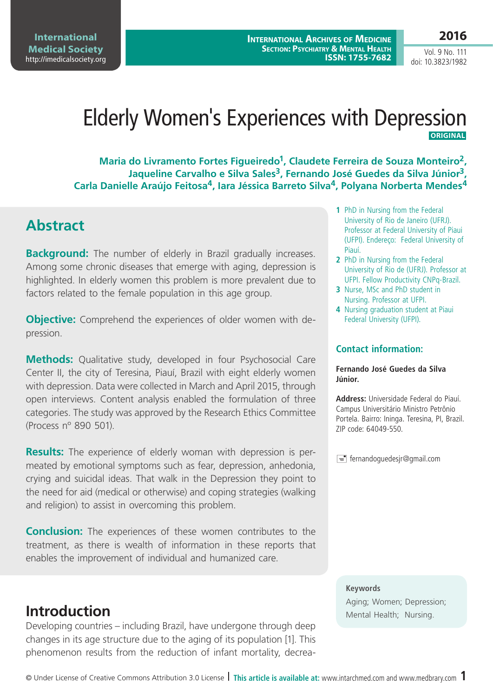**International Medical Society**  <http://imedicalsociety.org>

**International Archives of Medicine Section: Psychiatry & Mental Health ISSN: 1755-7682** **2016**

Vol. 9 No. 111 doi: 10.3823/1982

# Elderly Women's Experiences with Depression **Original**

Maria do Livramento Fortes Figueiredo<sup>1</sup>, Claudete Ferreira de Souza Monteiro<sup>2</sup>, Jaqueline Carvalho e Silva Sales<sup>3</sup>, Fernando José Guedes da Silva Júnior<sup>3</sup>, **Carla Danielle Araújo Feitosa4, Iara Jéssica Barreto Silva4, Polyana Norberta Mendes4**

### **Abstract**

**Background:** The number of elderly in Brazil gradually increases. Among some chronic diseases that emerge with aging, depression is highlighted. In elderly women this problem is more prevalent due to factors related to the female population in this age group.

**Objective:** Comprehend the experiences of older women with depression.

**Methods:** Qualitative study, developed in four Psychosocial Care Center II, the city of Teresina, Piauí, Brazil with eight elderly women with depression. Data were collected in March and April 2015, through open interviews. Content analysis enabled the formulation of three categories. The study was approved by the Research Ethics Committee (Process nº 890 501).

**Results:** The experience of elderly woman with depression is permeated by emotional symptoms such as fear, depression, anhedonia, crying and suicidal ideas. That walk in the Depression they point to the need for aid (medical or otherwise) and coping strategies (walking and religion) to assist in overcoming this problem.

**Conclusion:** The experiences of these women contributes to the treatment, as there is wealth of information in these reports that enables the improvement of individual and humanized care.

Developing countries – including Brazil, have undergone through deep changes in its age structure due to the aging of its population [1]. This phenomenon results from the reduction of infant mortality, decrea-

- **1** PhD in Nursing from the Federal University of Rio de Janeiro (UFRJ). Professor at Federal University of Piaui (UFPI). Endereço: Federal University of Piauí.
- **2** PhD in Nursing from the Federal University of Rio de (UFRJ). Professor at UFPI. Fellow Productivity CNPq-Brazil.
- **3** Nurse, MSc and PhD student in Nursing. Professor at UFPI.
- **4** Nursing graduation student at Piaui Federal University (UFPI).

#### **Contact information:**

#### **Fernando José Guedes da Silva Júnior.**

**Address:** Universidade Federal do Piauí. Campus Universitário Ministro Petrônio Portela. Bairro: Ininga. Teresina, PI, Brazil. ZIP code: 64049-550.

 $\equiv$  fernandoguedesjr@gmail.com

**Keywords**

Aging; Women; Depression; **Introduction** Mental Health; Nursing.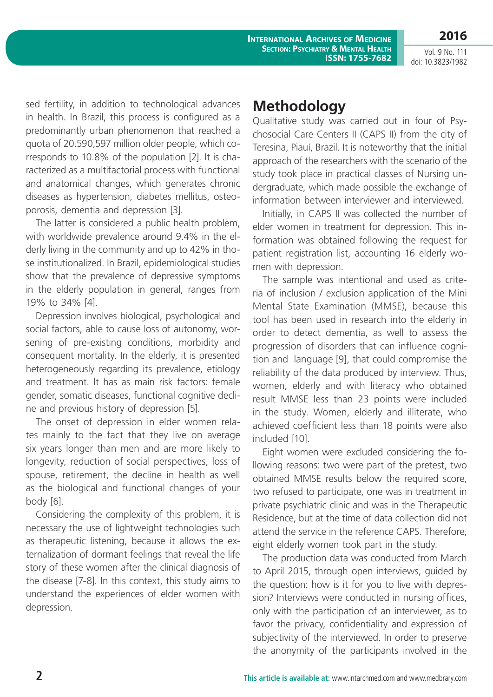**International Archives of Medicine Section: Psychiatry & Mental Health ISSN: 1755-7682**

Vol. 9 No. 111 doi: 10.3823/1982

**2016**

sed fertility, in addition to technological advances in health. In Brazil, this process is configured as a predominantly urban phenomenon that reached a quota of 20.590,597 million older people, which corresponds to 10.8% of the population [2]. It is characterized as a multifactorial process with functional and anatomical changes, which generates chronic diseases as hypertension, diabetes mellitus, osteoporosis, dementia and depression [3].

The latter is considered a public health problem, with worldwide prevalence around 9.4% in the elderly living in the community and up to 42% in those institutionalized. In Brazil, epidemiological studies show that the prevalence of depressive symptoms in the elderly population in general, ranges from 19% to 34% [4].

Depression involves biological, psychological and social factors, able to cause loss of autonomy, worsening of pre-existing conditions, morbidity and consequent mortality. In the elderly, it is presented heterogeneously regarding its prevalence, etiology and treatment. It has as main risk factors: female gender, somatic diseases, functional cognitive decline and previous history of depression [5].

The onset of depression in elder women relates mainly to the fact that they live on average six years longer than men and are more likely to longevity, reduction of social perspectives, loss of spouse, retirement, the decline in health as well as the biological and functional changes of your body [6].

Considering the complexity of this problem, it is necessary the use of lightweight technologies such as therapeutic listening, because it allows the externalization of dormant feelings that reveal the life story of these women after the clinical diagnosis of the disease [7-8]. In this context, this study aims to understand the experiences of elder women with depression.

### **Methodology**

Qualitative study was carried out in four of Psychosocial Care Centers II (CAPS II) from the city of Teresina, Piauí, Brazil. It is noteworthy that the initial approach of the researchers with the scenario of the study took place in practical classes of Nursing undergraduate, which made possible the exchange of information between interviewer and interviewed.

Initially, in CAPS II was collected the number of elder women in treatment for depression. This information was obtained following the request for patient registration list, accounting 16 elderly women with depression.

The sample was intentional and used as criteria of inclusion / exclusion application of the Mini Mental State Examination (MMSE), because this tool has been used in research into the elderly in order to detect dementia, as well to assess the progression of disorders that can influence cognition and language [9], that could compromise the reliability of the data produced by interview. Thus, women, elderly and with literacy who obtained result MMSE less than 23 points were included in the study. Women, elderly and illiterate, who achieved coefficient less than 18 points were also included [10].

Eight women were excluded considering the following reasons: two were part of the pretest, two obtained MMSE results below the required score, two refused to participate, one was in treatment in private psychiatric clinic and was in the Therapeutic Residence, but at the time of data collection did not attend the service in the reference CAPS. Therefore, eight elderly women took part in the study.

The production data was conducted from March to April 2015, through open interviews, guided by the question: how is it for you to live with depression? Interviews were conducted in nursing offices, only with the participation of an interviewer, as to favor the privacy, confidentiality and expression of subjectivity of the interviewed. In order to preserve the anonymity of the participants involved in the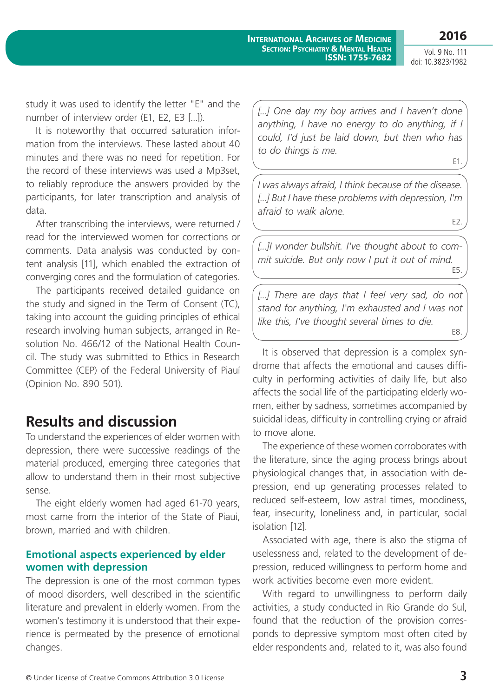E2.

Vol. 9 No. 111 doi: 10.3823/1982

study it was used to identify the letter "E" and the number of interview order (E1, E2, E3 [...]).

It is noteworthy that occurred saturation information from the interviews. These lasted about 40 minutes and there was no need for repetition. For the record of these interviews was used a Mp3set, to reliably reproduce the answers provided by the participants, for later transcription and analysis of data.

After transcribing the interviews, were returned / read for the interviewed women for corrections or comments. Data analysis was conducted by content analysis [11], which enabled the extraction of converging cores and the formulation of categories.

The participants received detailed guidance on the study and signed in the Term of Consent (TC), taking into account the guiding principles of ethical research involving human subjects, arranged in Resolution No. 466/12 of the National Health Council. The study was submitted to Ethics in Research Committee (CEP) of the Federal University of Piauí (Opinion No. 890 501).

### **Results and discussion**

To understand the experiences of elder women with depression, there were successive readings of the material produced, emerging three categories that allow to understand them in their most subjective sense.

The eight elderly women had aged 61-70 years, most came from the interior of the State of Piaui, brown, married and with children.

### **Emotional aspects experienced by elder women with depression**

The depression is one of the most common types of mood disorders, well described in the scientific literature and prevalent in elderly women. From the women's testimony it is understood that their experience is permeated by the presence of emotional changes.

[...] One day my boy arrives and I haven't done *anything, I have no energy to do anything, if I could, I'd just be laid down, but then who has to do things is me.* E1.

*I was always afraid, I think because of the disease. [...] But I have these problems with depression, I'm afraid to walk alone.*

*[...]I wonder bullshit. I've thought about to commit suicide. But only now I put it out of mind.* E5.

[...] There are days that I feel very sad, do not *stand for anything, I'm exhausted and I was not like this, I've thought several times to die.* E8.

It is observed that depression is a complex syndrome that affects the emotional and causes difficulty in performing activities of daily life, but also affects the social life of the participating elderly women, either by sadness, sometimes accompanied by suicidal ideas, difficulty in controlling crying or afraid to move alone.

The experience of these women corroborates with the literature, since the aging process brings about physiological changes that, in association with depression, end up generating processes related to reduced self-esteem, low astral times, moodiness, fear, insecurity, loneliness and, in particular, social isolation [12].

Associated with age, there is also the stigma of uselessness and, related to the development of depression, reduced willingness to perform home and work activities become even more evident.

With regard to unwillingness to perform daily activities, a study conducted in Rio Grande do Sul, found that the reduction of the provision corresponds to depressive symptom most often cited by elder respondents and, related to it, was also found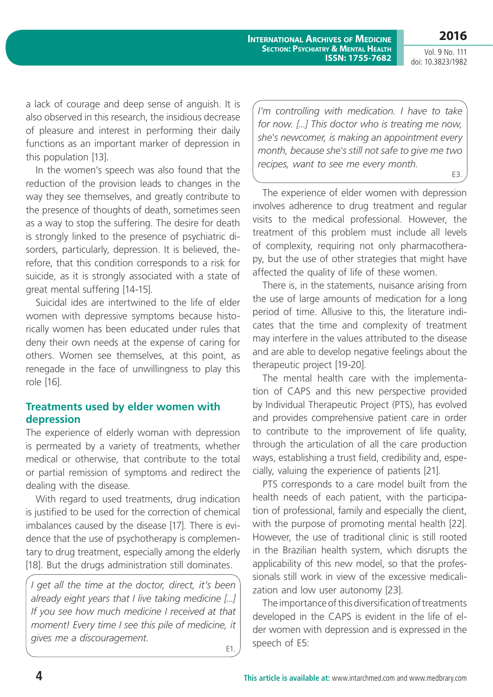Vol. 9 No. 111

**2016**

doi: 10.3823/1982

a lack of courage and deep sense of anguish. It is also observed in this research, the insidious decrease of pleasure and interest in performing their daily functions as an important marker of depression in this population [13].

In the women's speech was also found that the reduction of the provision leads to changes in the way they see themselves, and greatly contribute to the presence of thoughts of death, sometimes seen as a way to stop the suffering. The desire for death is strongly linked to the presence of psychiatric disorders, particularly, depression. It is believed, therefore, that this condition corresponds to a risk for suicide, as it is strongly associated with a state of great mental suffering [14-15].

Suicidal ides are intertwined to the life of elder women with depressive symptoms because historically women has been educated under rules that deny their own needs at the expense of caring for others. Women see themselves, at this point, as renegade in the face of unwillingness to play this role [16].

### **Treatments used by elder women with depression**

The experience of elderly woman with depression is permeated by a variety of treatments, whether medical or otherwise, that contribute to the total or partial remission of symptoms and redirect the dealing with the disease.

With regard to used treatments, drug indication is justified to be used for the correction of chemical imbalances caused by the disease [17]. There is evidence that the use of psychotherapy is complementary to drug treatment, especially among the elderly [18]. But the drugs administration still dominates.

*I get all the time at the doctor, direct, it's been already eight years that I live taking medicine [...] If you see how much medicine I received at that moment! Every time I see this pile of medicine, it gives me a discouragement.* E1.

*I'm controlling with medication. I have to take for now. [...] This doctor who is treating me now, she's newcomer, is making an appointment every month, because she's still not safe to give me two recipes, want to see me every month.*

E3.

The experience of elder women with depression involves adherence to drug treatment and regular visits to the medical professional. However, the treatment of this problem must include all levels of complexity, requiring not only pharmacotherapy, but the use of other strategies that might have affected the quality of life of these women.

There is, in the statements, nuisance arising from the use of large amounts of medication for a long period of time. Allusive to this, the literature indicates that the time and complexity of treatment may interfere in the values attributed to the disease and are able to develop negative feelings about the therapeutic project [19-20].

The mental health care with the implementation of CAPS and this new perspective provided by Individual Therapeutic Project (PTS), has evolved and provides comprehensive patient care in order to contribute to the improvement of life quality, through the articulation of all the care production ways, establishing a trust field, credibility and, especially, valuing the experience of patients [21].

PTS corresponds to a care model built from the health needs of each patient, with the participation of professional, family and especially the client, with the purpose of promoting mental health [22]. However, the use of traditional clinic is still rooted in the Brazilian health system, which disrupts the applicability of this new model, so that the professionals still work in view of the excessive medicalization and low user autonomy [23].

The importance of this diversification of treatments developed in the CAPS is evident in the life of elder women with depression and is expressed in the speech of E5: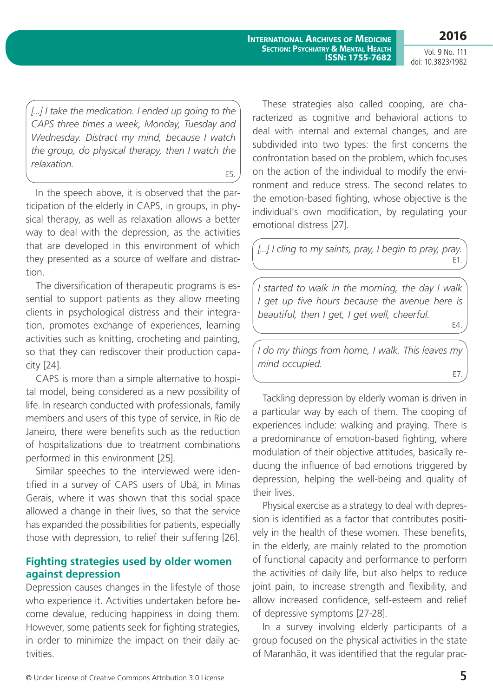Vol. 9 No. 111 doi: 10.3823/1982

[...] I take the medication. I ended up going to the *CAPS three times a week, Monday, Tuesday and Wednesday. Distract my mind, because I watch the group, do physical therapy, then I watch the relaxation.*

E5.

In the speech above, it is observed that the participation of the elderly in CAPS, in groups, in physical therapy, as well as relaxation allows a better way to deal with the depression, as the activities that are developed in this environment of which they presented as a source of welfare and distraction.

The diversification of therapeutic programs is essential to support patients as they allow meeting clients in psychological distress and their integration, promotes exchange of experiences, learning activities such as knitting, crocheting and painting, so that they can rediscover their production capacity [24].

CAPS is more than a simple alternative to hospital model, being considered as a new possibility of life. In research conducted with professionals, family members and users of this type of service, in Rio de Janeiro, there were benefits such as the reduction of hospitalizations due to treatment combinations performed in this environment [25].

Similar speeches to the interviewed were identified in a survey of CAPS users of Ubá, in Minas Gerais, where it was shown that this social space allowed a change in their lives, so that the service has expanded the possibilities for patients, especially those with depression, to relief their suffering [26].

### **Fighting strategies used by older women against depression**

Depression causes changes in the lifestyle of those who experience it. Activities undertaken before become devalue, reducing happiness in doing them. However, some patients seek for fighting strategies, in order to minimize the impact on their daily activities.

These strategies also called cooping, are characterized as cognitive and behavioral actions to deal with internal and external changes, and are subdivided into two types: the first concerns the confrontation based on the problem, which focuses on the action of the individual to modify the environment and reduce stress. The second relates to the emotion-based fighting, whose objective is the individual's own modification, by regulating your emotional distress [27].

*[...] I cling to my saints, pray, I begin to pray, pray.* E1.

*I started to walk in the morning, the day I walk I get up five hours because the avenue here is beautiful, then I get, I get well, cheerful.* E4.

*I do my things from home, I walk. This leaves my mind occupied.*

E7.

Tackling depression by elderly woman is driven in a particular way by each of them. The cooping of experiences include: walking and praying. There is a predominance of emotion-based fighting, where modulation of their objective attitudes, basically reducing the influence of bad emotions triggered by depression, helping the well-being and quality of their lives.

Physical exercise as a strategy to deal with depression is identified as a factor that contributes positively in the health of these women. These benefits, in the elderly, are mainly related to the promotion of functional capacity and performance to perform the activities of daily life, but also helps to reduce joint pain, to increase strength and flexibility, and allow increased confidence, self-esteem and relief of depressive symptoms [27-28].

In a survey involving elderly participants of a group focused on the physical activities in the state of Maranhão, it was identified that the regular prac-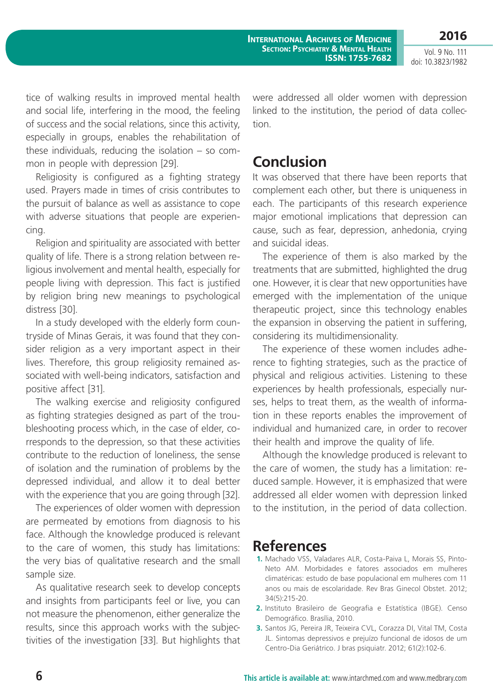**International Archives of Medicine Section: Psychiatry & Mental Health ISSN: 1755-7682**

Vol. 9 No. 111 doi: 10.3823/1982

**2016**

tice of walking results in improved mental health and social life, interfering in the mood, the feeling of success and the social relations, since this activity, especially in groups, enables the rehabilitation of these individuals, reducing the isolation – so common in people with depression [29].

Religiosity is configured as a fighting strategy used. Prayers made in times of crisis contributes to the pursuit of balance as well as assistance to cope with adverse situations that people are experiencing.

Religion and spirituality are associated with better quality of life. There is a strong relation between religious involvement and mental health, especially for people living with depression. This fact is justified by religion bring new meanings to psychological distress [30].

In a study developed with the elderly form countryside of Minas Gerais, it was found that they consider religion as a very important aspect in their lives. Therefore, this group religiosity remained associated with well-being indicators, satisfaction and positive affect [31].

The walking exercise and religiosity configured as fighting strategies designed as part of the troubleshooting process which, in the case of elder, corresponds to the depression, so that these activities contribute to the reduction of loneliness, the sense of isolation and the rumination of problems by the depressed individual, and allow it to deal better with the experience that you are going through [32].

The experiences of older women with depression are permeated by emotions from diagnosis to his face. Although the knowledge produced is relevant to the care of women, this study has limitations: the very bias of qualitative research and the small sample size.

As qualitative research seek to develop concepts and insights from participants feel or live, you can not measure the phenomenon, either generalize the results, since this approach works with the subjectivities of the investigation [33]. But highlights that were addressed all older women with depression linked to the institution, the period of data collection.

## **Conclusion**

It was observed that there have been reports that complement each other, but there is uniqueness in each. The participants of this research experience major emotional implications that depression can cause, such as fear, depression, anhedonia, crying and suicidal ideas.

The experience of them is also marked by the treatments that are submitted, highlighted the drug one. However, it is clear that new opportunities have emerged with the implementation of the unique therapeutic project, since this technology enables the expansion in observing the patient in suffering, considering its multidimensionality.

The experience of these women includes adherence to fighting strategies, such as the practice of physical and religious activities. Listening to these experiences by health professionals, especially nurses, helps to treat them, as the wealth of information in these reports enables the improvement of individual and humanized care, in order to recover their health and improve the quality of life.

Although the knowledge produced is relevant to the care of women, the study has a limitation: reduced sample. However, it is emphasized that were addressed all elder women with depression linked to the institution, in the period of data collection.

### **References**

- **1.** Machado VSS, Valadares ALR, Costa-Paiva L, Morais SS, Pinto-Neto AM. Morbidades e fatores associados em mulheres climatéricas: estudo de base populacional em mulheres com 11 anos ou mais de escolaridade. Rev Bras Ginecol Obstet. 2012; 34(5):215-20.
- **2.** Instituto Brasileiro de Geografia e Estatística (IBGE). Censo Demográfico. Brasília, 2010.
- **3.** Santos JG, Pereira JR, Teixeira CVL, Corazza DI, Vital TM, Costa JL. Sintomas depressivos e prejuízo funcional de idosos de um Centro-Dia Geriátrico. J bras psiquiatr. 2012; 61(2):102-6.